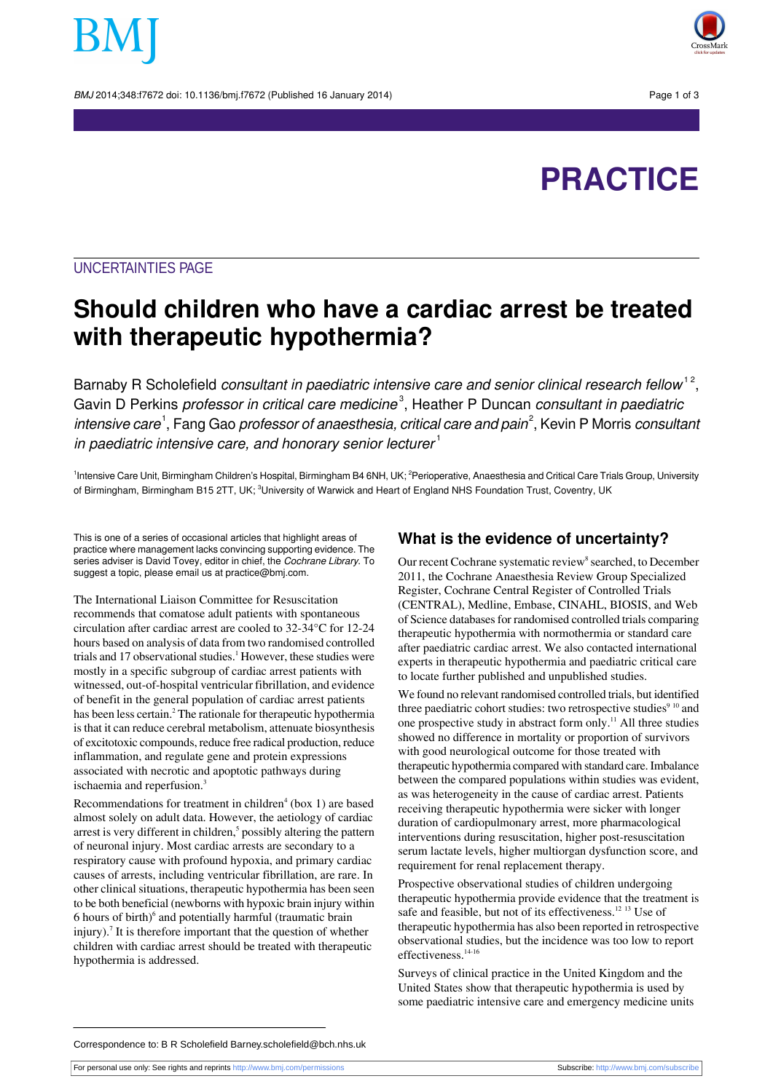BMJ 2014;348:f7672 doi: 10.1136/bmj.f7672 (Published 16 January 2014) Page 1 of 3

# **PRACTICE**

# UNCERTAINTIES PAGE

# **Should children who have a cardiac arrest be treated with therapeutic hypothermia?**

Barnaby R Scholefield consultant in paediatric intensive care and senior clinical research fellow<sup>12</sup>, Gavin D Perkins *professor in critical care medicine*<sup>3</sup>, Heather P Duncan *consultant in paediatric* intensive care<sup>1</sup>, Fang Gao *professor of anaesthesia, critical care and pain<sup>2</sup>, Kevin P Morris consultani* in paediatric intensive care, and honorary senior lecturer $1$ 

<sup>1</sup>Intensive Care Unit, Birmingham Children's Hospital, Birmingham B4 6NH, UK; <sup>2</sup>Perioperative, Anaesthesia and Critical Care Trials Group, University of Birmingham, Birmingham B15 2TT, UK; <sup>3</sup>University of Warwick and Heart of England NHS Foundation Trust, Coventry, UK

This is one of a series of occasional articles that highlight areas of practice where management lacks convincing supporting evidence. The series adviser is David Tovey, editor in chief, the Cochrane Library. To suggest a topic, please email us at practice@bmj.com.

The International Liaison Committee for Resuscitation recommends that comatose adult patients with spontaneous circulation after cardiac arrest are cooled to 32-34°C for 12-24 hours based on analysis of data from two randomised controlled trials and 17 observational studies.<sup>1</sup> However, these studies were mostly in a specific subgroup of cardiac arrest patients with witnessed, out-of-hospital ventricular fibrillation, and evidence of benefit in the general population of cardiac arrest patients has been less certain.<sup>2</sup> The rationale for therapeutic hypothermia is that it can reduce cerebral metabolism, attenuate biosynthesis of excitotoxic compounds, reduce free radical production, reduce inflammation, and regulate gene and protein expressions associated with necrotic and apoptotic pathways during ischaemia and reperfusion.<sup>3</sup>

Recommendations for treatment in children<sup>4</sup> (box 1) are based almost solely on adult data. However, the aetiology of cardiac arrest is very different in children,<sup>5</sup> possibly altering the pattern of neuronal injury. Most cardiac arrests are secondary to a respiratory cause with profound hypoxia, and primary cardiac causes of arrests, including ventricular fibrillation, are rare. In other clinical situations, therapeutic hypothermia has been seen to be both beneficial (newborns with hypoxic brain injury within 6 hours of birth)<sup>6</sup> and potentially harmful (traumatic brain injury).<sup>7</sup> It is therefore important that the question of whether children with cardiac arrest should be treated with therapeutic hypothermia is addressed.

## **What is the evidence of uncertainty?**

Our recent Cochrane systematic review<sup>8</sup> searched, to December 2011, the Cochrane Anaesthesia Review Group Specialized Register, Cochrane Central Register of Controlled Trials (CENTRAL), Medline, Embase, CINAHL, BIOSIS, and Web of Science databasesfor randomised controlled trials comparing therapeutic hypothermia with normothermia or standard care after paediatric cardiac arrest. We also contacted international experts in therapeutic hypothermia and paediatric critical care to locate further published and unpublished studies.

We found no relevant randomised controlled trials, but identified three paediatric cohort studies: two retrospective studies<sup>9 10</sup> and one prospective study in abstract form only.<sup>11</sup> All three studies showed no difference in mortality or proportion of survivors with good neurological outcome for those treated with therapeutic hypothermia compared with standard care. Imbalance between the compared populations within studies was evident, as was heterogeneity in the cause of cardiac arrest. Patients receiving therapeutic hypothermia were sicker with longer duration of cardiopulmonary arrest, more pharmacological interventions during resuscitation, higher post-resuscitation serum lactate levels, higher multiorgan dysfunction score, and requirement for renal replacement therapy.

Prospective observational studies of children undergoing therapeutic hypothermia provide evidence that the treatment is safe and feasible, but not of its effectiveness.<sup>12 13</sup> Use of therapeutic hypothermia has also been reported in retrospective observational studies, but the incidence was too low to report effectiveness.14-16

Surveys of clinical practice in the United Kingdom and the United States show that therapeutic hypothermia is used by some paediatric intensive care and emergency medicine units

Correspondence to: B R Scholefield Barney.scholefield@bch.nhs.uk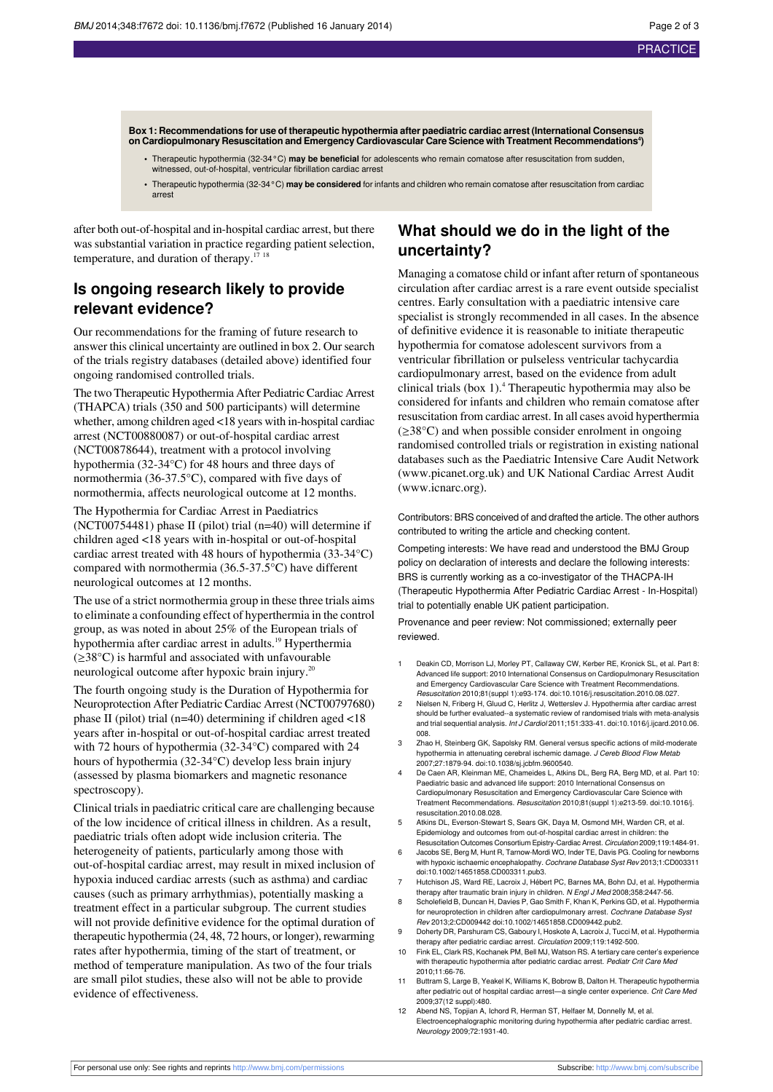**Box 1: Recommendations for use of therapeutic hypothermia after paediatric cardiac arrest (International Consensus on Cardiopulmonary Resuscitation and Emergency Cardiovascular Care Science with Treatment Recommendations<sup>4</sup> )**

- **•** Therapeutic hypothermia (32-34°C) **may be beneficial** for adolescents who remain comatose after resuscitation from sudden, witnessed, out-of-hospital, ventricular fibrillation cardiac arrest
- **•** Therapeutic hypothermia (32-34°C) **may be considered** for infants and children who remain comatose after resuscitation from cardiac arrest

after both out-of-hospital and in-hospital cardiac arrest, but there was substantial variation in practice regarding patient selection, temperature, and duration of therapy.<sup>17</sup> <sup>18</sup>

## **Is ongoing research likely to provide relevant evidence?**

Our recommendations for the framing of future research to answer this clinical uncertainty are outlined in box 2. Oursearch of the trials registry databases (detailed above) identified four ongoing randomised controlled trials.

The two Therapeutic Hypothermia After Pediatric Cardiac Arrest (THAPCA) trials (350 and 500 participants) will determine whether, among children aged <18 years with in-hospital cardiac arrest (NCT00880087) or out-of-hospital cardiac arrest (NCT00878644), treatment with a protocol involving hypothermia (32-34°C) for 48 hours and three days of normothermia (36-37.5°C), compared with five days of normothermia, affects neurological outcome at 12 months.

The Hypothermia for Cardiac Arrest in Paediatrics (NCT00754481) phase II (pilot) trial (n=40) will determine if children aged <18 years with in-hospital or out-of-hospital cardiac arrest treated with 48 hours of hypothermia (33-34°C) compared with normothermia (36.5-37.5°C) have different neurological outcomes at 12 months.

The use of a strict normothermia group in these three trials aims to eliminate a confounding effect of hyperthermia in the control group, as was noted in about 25% of the European trials of hypothermia after cardiac arrest in adults.<sup>19</sup> Hyperthermia (≥38°C) is harmful and associated with unfavourable neurological outcome after hypoxic brain injury.<sup>20</sup>

The fourth ongoing study is the Duration of Hypothermia for Neuroprotection After Pediatric Cardiac Arrest (NCT00797680) phase II (pilot) trial (n=40) determining if children aged <18 years after in-hospital or out-of-hospital cardiac arrest treated with 72 hours of hypothermia (32-34°C) compared with 24 hours of hypothermia (32-34°C) develop less brain injury (assessed by plasma biomarkers and magnetic resonance spectroscopy).

Clinical trials in paediatric critical care are challenging because of the low incidence of critical illness in children. As a result, paediatric trials often adopt wide inclusion criteria. The heterogeneity of patients, particularly among those with out-of-hospital cardiac arrest, may result in mixed inclusion of hypoxia induced cardiac arrests (such as asthma) and cardiac causes (such as primary arrhythmias), potentially masking a treatment effect in a particular subgroup. The current studies will not provide definitive evidence for the optimal duration of therapeutic hypothermia (24, 48, 72 hours, or longer), rewarming rates after hypothermia, timing of the start of treatment, or method of temperature manipulation. As two of the four trials are small pilot studies, these also will not be able to provide evidence of effectiveness.

# **What should we do in the light of the uncertainty?**

Managing a comatose child or infant after return of spontaneous circulation after cardiac arrest is a rare event outside specialist centres. Early consultation with a paediatric intensive care specialist is strongly recommended in all cases. In the absence of definitive evidence it is reasonable to initiate therapeutic hypothermia for comatose adolescent survivors from a ventricular fibrillation or pulseless ventricular tachycardia cardiopulmonary arrest, based on the evidence from adult clinical trials (box 1).<sup>4</sup> Therapeutic hypothermia may also be considered for infants and children who remain comatose after resuscitation from cardiac arrest. In all cases avoid hyperthermia  $(\geq 38^{\circ}C)$  and when possible consider enrolment in ongoing randomised controlled trials or registration in existing national databases such as the Paediatric Intensive Care Audit Network ([www.picanet.org.uk](http://www.picanet.org.uk/)) and UK National Cardiac Arrest Audit ([www.icnarc.org\)](http://www.icnarc.org/).

Contributors: BRS conceived of and drafted the article. The other authors contributed to writing the article and checking content.

Competing interests: We have read and understood the BMJ Group policy on declaration of interests and declare the following interests: BRS is currently working as a co-investigator of the THACPA-IH (Therapeutic Hypothermia After Pediatric Cardiac Arrest - In-Hospital) trial to potentially enable UK patient participation.

Provenance and peer review: Not commissioned; externally peer reviewed.

- 1 Deakin CD, Morrison LJ, Morley PT, Callaway CW, Kerber RE, Kronick SL, et al. Part 8: Advanced life support: 2010 International Consensus on Cardiopulmonary Resuscitation and Emergency Cardiovascular Care Science with Treatment Recomm Resuscitation 2010;81(suppl 1):e93-174. doi:[10.1016/j.resuscitation.2010.08.027.](http://dx.doi.org/10.1016/j.resuscitation.2010.08.027)
- 2 Nielsen N, Friberg H, Gluud C, Herlitz J, Wetterslev J. Hypothermia after cardiac arrest should be further evaluated--a systematic review of randomised trials with meta-analysis and trial sequential analysis. Int J Cardiol 2011;151:333-41. doi:[10.1016/j.ijcard.2010.06.](http://dx.doi.org/10.1016/j.ijcard.2010.06.008) [008](http://dx.doi.org/10.1016/j.ijcard.2010.06.008).
- 3 Zhao H, Steinberg GK, Sapolsky RM. General versus specific actions of mild-moderate hypothermia in attenuating cerebral ischemic damage. J Cereb Blood Flow Metab 2007;27:1879-94. doi:[10.1038/sj.jcbfm.9600540.](http://dx.doi.org/10.1038/sj.jcbfm.9600540)
- 4 De Caen AR, Kleinman ME, Chameides L, Atkins DL, Berg RA, Berg MD, et al. Part 10: Paediatric basic and advanced life support: 2010 International Consensus on Cardiopulmonary Resuscitation and Emergency Cardiovascular Care Science with Treatment Recommendations. Resuscitation 2010;81(suppl 1):e213-59. doi:[10.1016/j.](http://dx.doi.org/10.1016/j.resuscitation.2010.08.028) [resuscitation.2010.08.028](http://dx.doi.org/10.1016/j.resuscitation.2010.08.028).
- Atkins DL, Everson-Stewart S, Sears GK, Daya M, Osmond MH, Warden CR, et al. Epidemiology and outcomes from out-of-hospital cardiac arrest in children: the Resuscitation Outcomes Consortium Epistry-Cardiac Arrest. Circulation 2009;119:1484-91.
- Jacobs SE, Berg M, Hunt R, Tarnow-Mordi WO, Inder TE, Davis PG. Cooling for newborns with hypoxic ischaemic encephalopathy. Cochrane Database Syst Rev 2013;1:CD003311 doi:[10.1002/14651858.CD003311.pub3](http://dx.doi.org/10.1002/14651858.CD003311.pub3).
- 7 Hutchison JS, Ward RE, Lacroix J, Hébert PC, Barnes MA, Bohn DJ, et al. Hypothermia therapy after traumatic brain injury in children. N Engl J Med 2008;358:2447-56.
- 8 Scholefield B, Duncan H, Davies P, Gao Smith F, Khan K, Perkins GD, et al. Hypothermia for neuroprotection in children after cardiopulmonary arrest. Cochrane Database Syst Rev 2013;2:CD009442 doi:[10.1002/14651858.CD009442.pub2](http://dx.doi.org/10.1002/14651858.CD009442.pub2).
- 9 Doherty DR, Parshuram CS, Gaboury I, Hoskote A, Lacroix J, Tucci M, et al. Hypothermia therapy after pediatric cardiac arrest. Circulation 2009;119:1492-500.
- 10 Fink EL, Clark RS, Kochanek PM, Bell MJ, Watson RS. A tertiary care center's experience with therapeutic hypothermia after pediatric cardiac arrest. Pediatr Crit Care Med 2010;11:66-76.
- 11 Buttram S, Large B, Yeakel K, Williams K, Bobrow B, Dalton H. Therapeutic hypothermia after pediatric out of hospital cardiac arrest—a single center experience. Crit Care Med 2009;37(12 suppl):480.
- 12 Abend NS, Topjian A, Ichord R, Herman ST, Helfaer M, Donnelly M, et al. Electroencephalographic monitoring during hypothermia after pediatric cardiac arrest. Neurology 2009;72:1931-40.